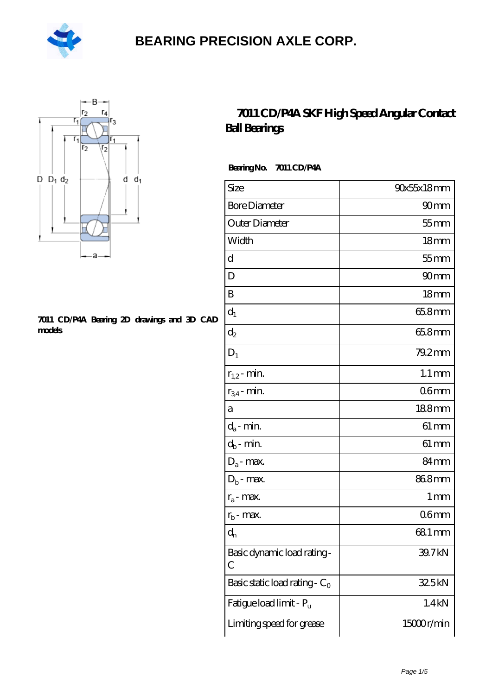



#### **[7011 CD/P4A Bearing 2D drawings and 3D CAD](https://m.hilalanaokulu.com/pic-660741.html) [models](https://m.hilalanaokulu.com/pic-660741.html)**

#### **[7011 CD/P4A SKF High Speed Angular Contact](https://m.hilalanaokulu.com/skf-bearings/7011-cd-p4a.html) [Ball Bearings](https://m.hilalanaokulu.com/skf-bearings/7011-cd-p4a.html)**

 **Bearing No. 7011 CD/P4A**

| Size                             | 90x55x18mm          |
|----------------------------------|---------------------|
| <b>Bore Diameter</b>             | 90 <sub>mm</sub>    |
| Outer Diameter                   | $55$ mm             |
| Width                            | 18 <sub>mm</sub>    |
| d                                | $55$ mm             |
| D                                | 90 <sub>mm</sub>    |
| B                                | 18 <sub>mm</sub>    |
| $d_1$                            | 65.8mm              |
| $\mathrm{d}_2$                   | 65.8mm              |
| $D_1$                            | 79.2mm              |
| $r_{1,2}$ - min.                 | $1.1 \,\mathrm{mm}$ |
| $r_{34}$ - min.                  | 06mm                |
| а                                | 188mm               |
| $d_a$ - min.                     | $61 \, \text{mm}$   |
| $d_b$ - min.                     | $61 \, \text{mm}$   |
| $D_a$ - max.                     | 84mm                |
| $D_b$ - max.                     | 868mm               |
| $r_a$ - max.                     | $1 \,\mathrm{mm}$   |
| $r_{b}$ - max.                   | 06mm                |
| $d_{n}$                          | 681 mm              |
| Basic dynamic load rating-<br>С  | 39.7kN              |
| Basic static load rating - $C_0$ | 32.5kN              |
| Fatigue load limit - Pu          | 1.4kN               |
| Limiting speed for grease        | 15000r/min          |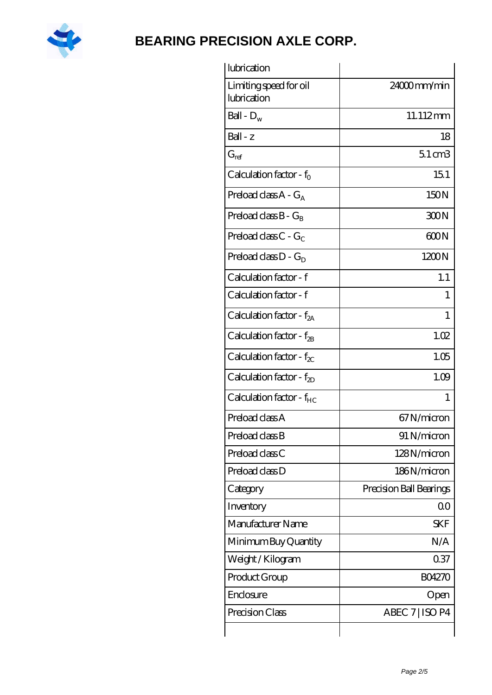

| lubrication                           |                         |
|---------------------------------------|-------------------------|
| Limiting speed for oil<br>lubrication | 24000mm/min             |
| Ball - $D_w$                          | 11.112mm                |
| $Ball - z$                            | 18                      |
| $G_{ref}$                             | $5.1 \text{ cm}$ 3      |
| Calculation factor - $f_0$            | 151                     |
| Preload class A - G <sub>A</sub>      | 150N                    |
| Preload class $B - G_R$               | 300N                    |
| Preload class $C - G_C$               | 600N                    |
| Preload class $D - G_D$               | 1200N                   |
| Calculation factor - f                | 1.1                     |
| Calculation factor - f                | 1                       |
| Calculation factor - f <sub>2A</sub>  | 1                       |
| Calculation factor - $f_{2B}$         | 1.02                    |
| Calculation factor - $f_{\chi}$       | 1.05                    |
| Calculation factor - $f_{2D}$         | 1.09                    |
| Calculation factor - f <sub>HC</sub>  | 1                       |
| Preload class A                       | 67N/micron              |
| Preload class B                       | 91 N/micron             |
| Preload class C                       | 128N/micron             |
| Preload class D                       | 186N/micron             |
| Category                              | Precision Ball Bearings |
| Inventory                             | 0 <sup>0</sup>          |
| Manufacturer Name                     | <b>SKF</b>              |
| Minimum Buy Quantity                  | N/A                     |
| Weight / Kilogram                     | 0.37                    |
| Product Group                         | <b>BO4270</b>           |
| Enclosure                             | Open                    |
| Precision Class                       | ABEC 7   ISO P4         |
|                                       |                         |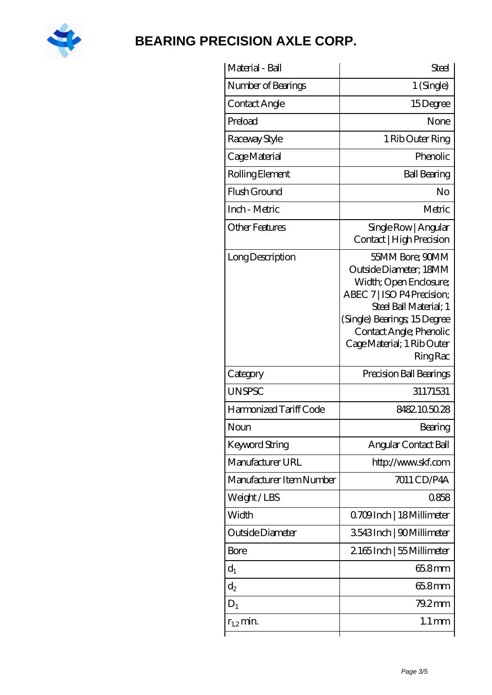

| Material - Ball          | Steel                                                                                                                                                                                                                                  |
|--------------------------|----------------------------------------------------------------------------------------------------------------------------------------------------------------------------------------------------------------------------------------|
| Number of Bearings       | $1$ (Single)                                                                                                                                                                                                                           |
| Contact Angle            | 15Degree                                                                                                                                                                                                                               |
| Preload                  | None                                                                                                                                                                                                                                   |
| Raceway Style            | 1 Rib Outer Ring                                                                                                                                                                                                                       |
| Cage Material            | Phenolic                                                                                                                                                                                                                               |
| Rolling Element          | <b>Ball Bearing</b>                                                                                                                                                                                                                    |
| Flush Ground             | No                                                                                                                                                                                                                                     |
| Inch - Metric            | Metric                                                                                                                                                                                                                                 |
| <b>Other Features</b>    | Single Row   Angular<br>Contact   High Precision                                                                                                                                                                                       |
| Long Description         | 55MM Bore; 90MM<br>Outside Diameter; 18MM<br>Width; Open Enclosure;<br>ABEC 7   ISO P4 Precision;<br>Steel Ball Material; 1<br>(Single) Bearings; 15Degree<br>Contact Angle; Phenolic<br>Cage Material; 1 Rib Outer<br><b>Ring Rac</b> |
| Category                 | Precision Ball Bearings                                                                                                                                                                                                                |
| <b>UNSPSC</b>            | 31171531                                                                                                                                                                                                                               |
| Harmonized Tariff Code   | 8482105028                                                                                                                                                                                                                             |
| Noun                     | Bearing                                                                                                                                                                                                                                |
| <b>Keyword String</b>    | Angular Contact Ball                                                                                                                                                                                                                   |
| Manufacturer URL         | http://www.skf.com                                                                                                                                                                                                                     |
| Manufacturer Item Number | 7011 CD/P4A                                                                                                                                                                                                                            |
| Weight/LBS               | 0858                                                                                                                                                                                                                                   |
| Width                    | Q709Inch   18 Millimeter                                                                                                                                                                                                               |
| Outside Diameter         | 3543Inch   90Millimeter                                                                                                                                                                                                                |
| <b>Bore</b>              | 2165Inch   55 Millimeter                                                                                                                                                                                                               |
| $d_1$                    | 65.8mm                                                                                                                                                                                                                                 |
| $d_2$                    | 65.8mm                                                                                                                                                                                                                                 |
| $D_1$                    | $79.2$ mm                                                                                                                                                                                                                              |
| $r_{1,2}$ min.           | $1.1 \,\mathrm{mm}$                                                                                                                                                                                                                    |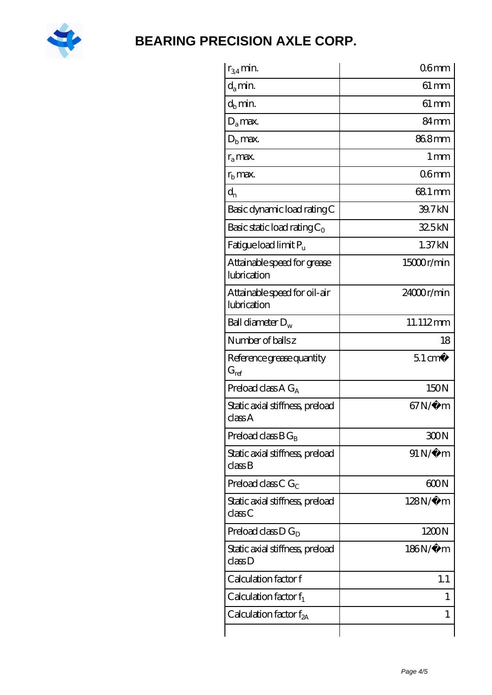

| $r_{34}$ min.                               | 06 <sub>mm</sub>   |
|---------------------------------------------|--------------------|
| $d_{a}$ min.                                | $61 \,\mathrm{mm}$ |
| $d_h$ min.                                  | $61 \, \text{mm}$  |
| $D_a$ max.                                  | 84 <sub>mm</sub>   |
| $Db$ max.                                   | 868mm              |
| $r_a$ max.                                  | $1 \,\mathrm{mm}$  |
| $rh$ max.                                   | 06mm               |
| $d_{n}$                                     | 68.1 mm            |
| Basic dynamic load rating C                 | 39.7kN             |
| Basic static load rating $C_0$              | 325kN              |
| Fatigue load limit Pu                       | 1.37kN             |
| Attainable speed for grease<br>lubrication  | $15000$ r/min      |
| Attainable speed for oil-air<br>lubrication | 24000r/min         |
| Ball diameter $D_w$                         | 11.112mm           |
| Number of balls z                           | 18                 |
| Reference grease quantity<br>$G_{ref}$      | $51 \text{ cm}^3$  |
| Preload class A $G_A$                       | 150N               |
| Static axial stiffness, preload<br>classA   | $67N/\mu$ m        |
| Preload class $B G_B$                       | 300N               |
| Static axial stiffness, preload<br>classB   | $91 N/\mu$ m       |
| Preload class C $G_C$                       | 600N               |
| Static axial stiffness, preload<br>classC   | $128N/\mu$ m       |
| Preload class $D G_D$                       | 1200N              |
| Static axial stiffness, preload<br>classD   | 186N/μ m           |
| Calculation factor f                        | 1.1                |
| Calculation factor $f_1$                    | I                  |
| Calculation factor $f_{2A}$                 | 1                  |
|                                             |                    |